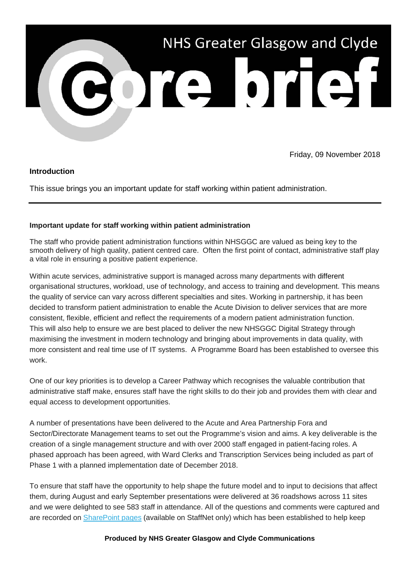

Friday, 09 November 2018

### **Introduction**

This issue brings you an important update for staff working within patient administration.

### **Important update for staff working within patient administration**

The staff who provide patient administration functions within NHSGGC are valued as being key to the smooth delivery of high quality, patient centred care. Often the first point of contact, administrative staff play a vital role in ensuring a positive patient experience.

Within acute services, administrative support is managed across many departments with different organisational structures, workload, use of technology, and access to training and development. This means the quality of service can vary across different specialties and sites. Working in partnership, it has been decided to transform patient administration to enable the Acute Division to deliver services that are more consistent, flexible, efficient and reflect the requirements of a modern patient administration function. This will also help to ensure we are best placed to deliver the new NHSGGC Digital Strategy through maximising the investment in modern technology and bringing about improvements in data quality, with more consistent and real time use of IT systems. A Programme Board has been established to oversee this work.

One of our key priorities is to develop a Career Pathway which recognises the valuable contribution that administrative staff make, ensures staff have the right skills to do their job and provides them with clear and equal access to development opportunities.

A number of presentations have been delivered to the Acute and Area Partnership Fora and Sector/Directorate Management teams to set out the Programme's vision and aims. A key deliverable is the creation of a single management structure and with over 2000 staff engaged in patient-facing roles. A phased approach has been agreed, with Ward Clerks and Transcription Services being included as part of Phase 1 with a planned implementation date of December 2018.

To ensure that staff have the opportunity to help shape the future model and to input to decisions that affect them, during August and early September presentations were delivered at 36 roadshows across 11 sites and we were delighted to see 583 staff in attendance. All of the questions and comments were captured and are recorded on [SharePoint pages](https://nhsggc.us12.list-manage.com/track/click?u=0f385b5aea37eaf0213bd19fb&id=2125cb8664&e=5af5e1832c) (available on StaffNet only) which has been established to help keep

#### **Produced by NHS Greater Glasgow and Clyde Communications**